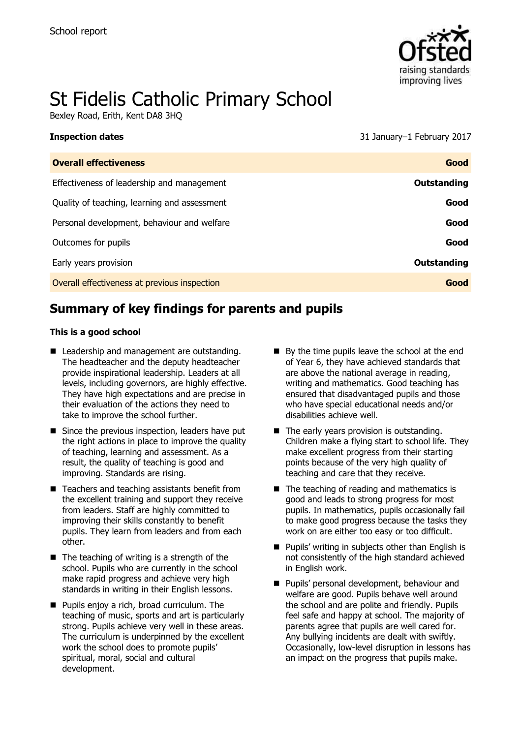

# St Fidelis Catholic Primary School

Bexley Road, Erith, Kent DA8 3HQ

#### **Inspection dates** 31 January–1 February 2017

| <b>Overall effectiveness</b>                 | Good               |
|----------------------------------------------|--------------------|
| Effectiveness of leadership and management   | <b>Outstanding</b> |
| Quality of teaching, learning and assessment | Good               |
| Personal development, behaviour and welfare  | Good               |
| Outcomes for pupils                          | Good               |
| Early years provision                        | <b>Outstanding</b> |
| Overall effectiveness at previous inspection | Good               |

# **Summary of key findings for parents and pupils**

#### **This is a good school**

- Leadership and management are outstanding. The headteacher and the deputy headteacher provide inspirational leadership. Leaders at all levels, including governors, are highly effective. They have high expectations and are precise in their evaluation of the actions they need to take to improve the school further.
- Since the previous inspection, leaders have put the right actions in place to improve the quality of teaching, learning and assessment. As a result, the quality of teaching is good and improving. Standards are rising.
- $\blacksquare$  Teachers and teaching assistants benefit from the excellent training and support they receive from leaders. Staff are highly committed to improving their skills constantly to benefit pupils. They learn from leaders and from each other.
- $\blacksquare$  The teaching of writing is a strength of the school. Pupils who are currently in the school make rapid progress and achieve very high standards in writing in their English lessons.
- **Pupils enjoy a rich, broad curriculum. The** teaching of music, sports and art is particularly strong. Pupils achieve very well in these areas. The curriculum is underpinned by the excellent work the school does to promote pupils' spiritual, moral, social and cultural development.
- By the time pupils leave the school at the end of Year 6, they have achieved standards that are above the national average in reading, writing and mathematics. Good teaching has ensured that disadvantaged pupils and those who have special educational needs and/or disabilities achieve well.
- $\blacksquare$  The early years provision is outstanding. Children make a flying start to school life. They make excellent progress from their starting points because of the very high quality of teaching and care that they receive.
- $\blacksquare$  The teaching of reading and mathematics is good and leads to strong progress for most pupils. In mathematics, pupils occasionally fail to make good progress because the tasks they work on are either too easy or too difficult.
- **Pupils' writing in subjects other than English is** not consistently of the high standard achieved in English work.
- **Pupils' personal development, behaviour and** welfare are good. Pupils behave well around the school and are polite and friendly. Pupils feel safe and happy at school. The majority of parents agree that pupils are well cared for. Any bullying incidents are dealt with swiftly. Occasionally, low-level disruption in lessons has an impact on the progress that pupils make.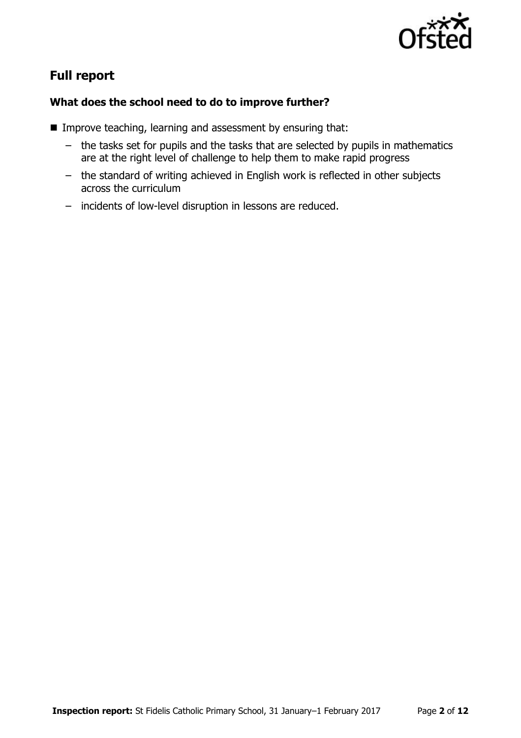

# **Full report**

### **What does the school need to do to improve further?**

- **IMPROVE teaching, learning and assessment by ensuring that:** 
	- the tasks set for pupils and the tasks that are selected by pupils in mathematics are at the right level of challenge to help them to make rapid progress
	- the standard of writing achieved in English work is reflected in other subjects across the curriculum
	- incidents of low-level disruption in lessons are reduced.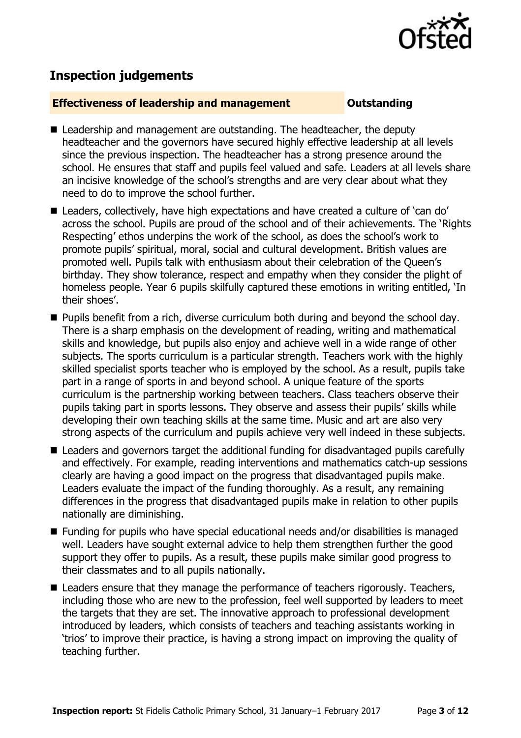

## **Inspection judgements**

#### **Effectiveness of leadership and management COULDER COULDER OUTSTANDING**

- Leadership and management are outstanding. The headteacher, the deputy headteacher and the governors have secured highly effective leadership at all levels since the previous inspection. The headteacher has a strong presence around the school. He ensures that staff and pupils feel valued and safe. Leaders at all levels share an incisive knowledge of the school's strengths and are very clear about what they need to do to improve the school further.
- Leaders, collectively, have high expectations and have created a culture of 'can do' across the school. Pupils are proud of the school and of their achievements. The 'Rights Respecting' ethos underpins the work of the school, as does the school's work to promote pupils' spiritual, moral, social and cultural development. British values are promoted well. Pupils talk with enthusiasm about their celebration of the Queen's birthday. They show tolerance, respect and empathy when they consider the plight of homeless people. Year 6 pupils skilfully captured these emotions in writing entitled, 'In their shoes'.
- **Pupils benefit from a rich, diverse curriculum both during and beyond the school day.** There is a sharp emphasis on the development of reading, writing and mathematical skills and knowledge, but pupils also enjoy and achieve well in a wide range of other subjects. The sports curriculum is a particular strength. Teachers work with the highly skilled specialist sports teacher who is employed by the school. As a result, pupils take part in a range of sports in and beyond school. A unique feature of the sports curriculum is the partnership working between teachers. Class teachers observe their pupils taking part in sports lessons. They observe and assess their pupils' skills while developing their own teaching skills at the same time. Music and art are also very strong aspects of the curriculum and pupils achieve very well indeed in these subjects.
- Leaders and governors target the additional funding for disadvantaged pupils carefully and effectively. For example, reading interventions and mathematics catch-up sessions clearly are having a good impact on the progress that disadvantaged pupils make. Leaders evaluate the impact of the funding thoroughly. As a result, any remaining differences in the progress that disadvantaged pupils make in relation to other pupils nationally are diminishing.
- Funding for pupils who have special educational needs and/or disabilities is managed well. Leaders have sought external advice to help them strengthen further the good support they offer to pupils. As a result, these pupils make similar good progress to their classmates and to all pupils nationally.
- Leaders ensure that they manage the performance of teachers rigorously. Teachers, including those who are new to the profession, feel well supported by leaders to meet the targets that they are set. The innovative approach to professional development introduced by leaders, which consists of teachers and teaching assistants working in 'trios' to improve their practice, is having a strong impact on improving the quality of teaching further.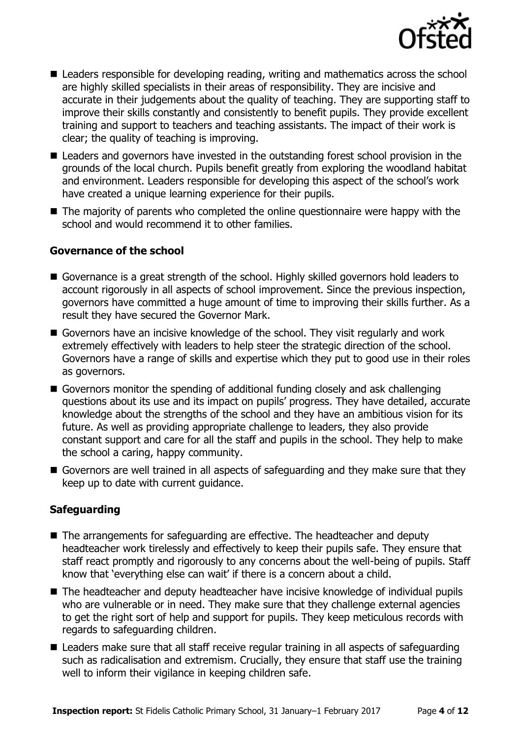

- Leaders responsible for developing reading, writing and mathematics across the school are highly skilled specialists in their areas of responsibility. They are incisive and accurate in their judgements about the quality of teaching. They are supporting staff to improve their skills constantly and consistently to benefit pupils. They provide excellent training and support to teachers and teaching assistants. The impact of their work is clear; the quality of teaching is improving.
- Leaders and governors have invested in the outstanding forest school provision in the grounds of the local church. Pupils benefit greatly from exploring the woodland habitat and environment. Leaders responsible for developing this aspect of the school's work have created a unique learning experience for their pupils.
- The majority of parents who completed the online questionnaire were happy with the school and would recommend it to other families.

#### **Governance of the school**

- Governance is a great strength of the school. Highly skilled governors hold leaders to account rigorously in all aspects of school improvement. Since the previous inspection, governors have committed a huge amount of time to improving their skills further. As a result they have secured the Governor Mark.
- Governors have an incisive knowledge of the school. They visit regularly and work extremely effectively with leaders to help steer the strategic direction of the school. Governors have a range of skills and expertise which they put to good use in their roles as governors.
- Governors monitor the spending of additional funding closely and ask challenging questions about its use and its impact on pupils' progress. They have detailed, accurate knowledge about the strengths of the school and they have an ambitious vision for its future. As well as providing appropriate challenge to leaders, they also provide constant support and care for all the staff and pupils in the school. They help to make the school a caring, happy community.
- Governors are well trained in all aspects of safeguarding and they make sure that they keep up to date with current guidance.

### **Safeguarding**

- The arrangements for safeguarding are effective. The headteacher and deputy headteacher work tirelessly and effectively to keep their pupils safe. They ensure that staff react promptly and rigorously to any concerns about the well-being of pupils. Staff know that 'everything else can wait' if there is a concern about a child.
- The headteacher and deputy headteacher have incisive knowledge of individual pupils who are vulnerable or in need. They make sure that they challenge external agencies to get the right sort of help and support for pupils. They keep meticulous records with regards to safeguarding children.
- Leaders make sure that all staff receive regular training in all aspects of safeguarding such as radicalisation and extremism. Crucially, they ensure that staff use the training well to inform their vigilance in keeping children safe.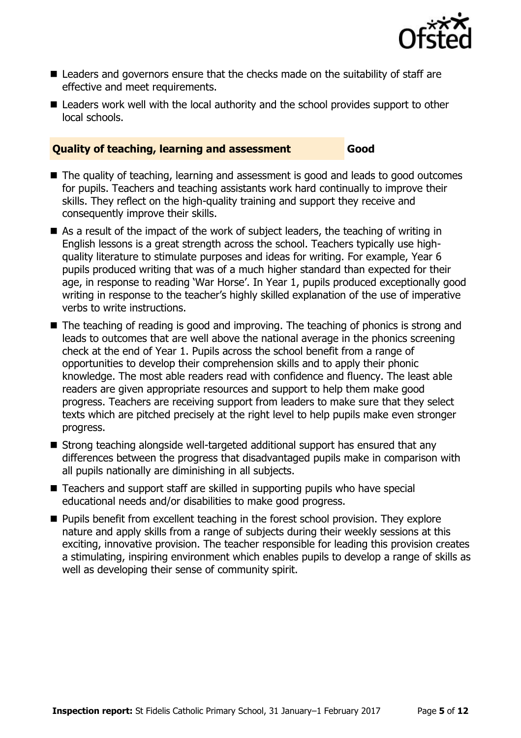

- Leaders and governors ensure that the checks made on the suitability of staff are effective and meet requirements.
- Leaders work well with the local authority and the school provides support to other local schools.

#### **Quality of teaching, learning and assessment Good**

- The quality of teaching, learning and assessment is good and leads to good outcomes for pupils. Teachers and teaching assistants work hard continually to improve their skills. They reflect on the high-quality training and support they receive and consequently improve their skills.
- As a result of the impact of the work of subject leaders, the teaching of writing in English lessons is a great strength across the school. Teachers typically use highquality literature to stimulate purposes and ideas for writing. For example, Year 6 pupils produced writing that was of a much higher standard than expected for their age, in response to reading 'War Horse'. In Year 1, pupils produced exceptionally good writing in response to the teacher's highly skilled explanation of the use of imperative verbs to write instructions.
- The teaching of reading is good and improving. The teaching of phonics is strong and leads to outcomes that are well above the national average in the phonics screening check at the end of Year 1. Pupils across the school benefit from a range of opportunities to develop their comprehension skills and to apply their phonic knowledge. The most able readers read with confidence and fluency. The least able readers are given appropriate resources and support to help them make good progress. Teachers are receiving support from leaders to make sure that they select texts which are pitched precisely at the right level to help pupils make even stronger progress.
- Strong teaching alongside well-targeted additional support has ensured that any differences between the progress that disadvantaged pupils make in comparison with all pupils nationally are diminishing in all subjects.
- Teachers and support staff are skilled in supporting pupils who have special educational needs and/or disabilities to make good progress.
- **Pupils benefit from excellent teaching in the forest school provision. They explore** nature and apply skills from a range of subjects during their weekly sessions at this exciting, innovative provision. The teacher responsible for leading this provision creates a stimulating, inspiring environment which enables pupils to develop a range of skills as well as developing their sense of community spirit.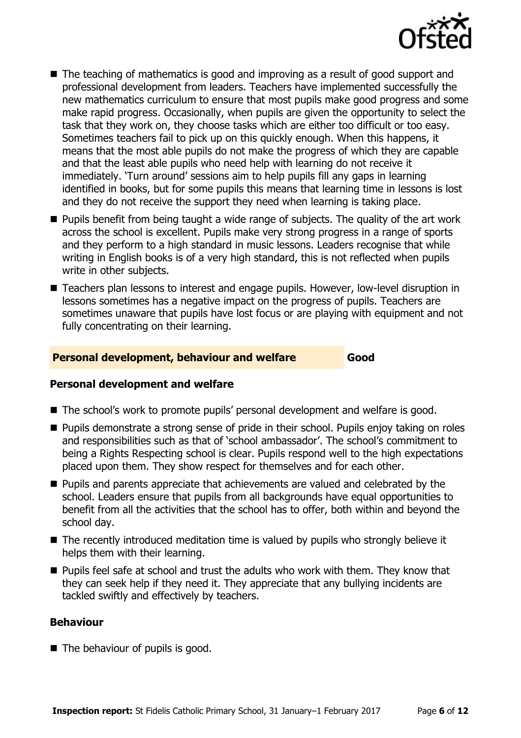

- The teaching of mathematics is good and improving as a result of good support and professional development from leaders. Teachers have implemented successfully the new mathematics curriculum to ensure that most pupils make good progress and some make rapid progress. Occasionally, when pupils are given the opportunity to select the task that they work on, they choose tasks which are either too difficult or too easy. Sometimes teachers fail to pick up on this quickly enough. When this happens, it means that the most able pupils do not make the progress of which they are capable and that the least able pupils who need help with learning do not receive it immediately. 'Turn around' sessions aim to help pupils fill any gaps in learning identified in books, but for some pupils this means that learning time in lessons is lost and they do not receive the support they need when learning is taking place.
- **Pupils benefit from being taught a wide range of subjects. The quality of the art work** across the school is excellent. Pupils make very strong progress in a range of sports and they perform to a high standard in music lessons. Leaders recognise that while writing in English books is of a very high standard, this is not reflected when pupils write in other subjects.
- Teachers plan lessons to interest and engage pupils. However, low-level disruption in lessons sometimes has a negative impact on the progress of pupils. Teachers are sometimes unaware that pupils have lost focus or are playing with equipment and not fully concentrating on their learning.

### **Personal development, behaviour and welfare Good**

### **Personal development and welfare**

- The school's work to promote pupils' personal development and welfare is good.
- **Pupils demonstrate a strong sense of pride in their school. Pupils enjoy taking on roles** and responsibilities such as that of 'school ambassador'. The school's commitment to being a Rights Respecting school is clear. Pupils respond well to the high expectations placed upon them. They show respect for themselves and for each other.
- **Pupils and parents appreciate that achievements are valued and celebrated by the** school. Leaders ensure that pupils from all backgrounds have equal opportunities to benefit from all the activities that the school has to offer, both within and beyond the school day.
- The recently introduced meditation time is valued by pupils who strongly believe it helps them with their learning.
- **Pupils feel safe at school and trust the adults who work with them. They know that** they can seek help if they need it. They appreciate that any bullying incidents are tackled swiftly and effectively by teachers.

### **Behaviour**

 $\blacksquare$  The behaviour of pupils is good.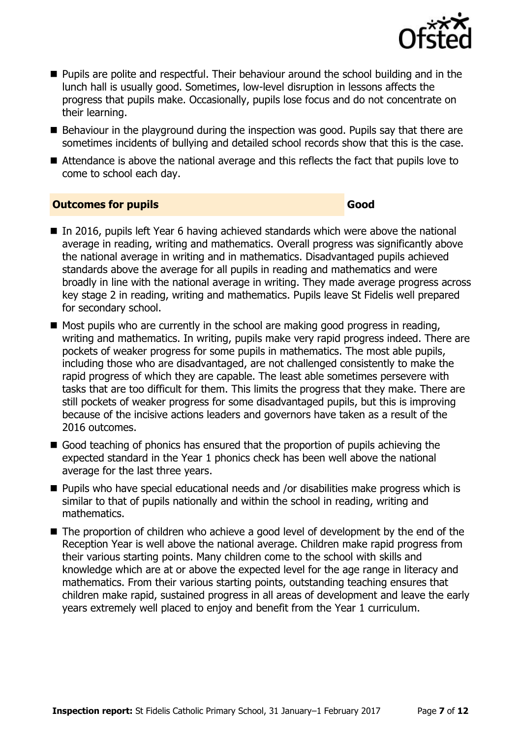

- **Pupils are polite and respectful. Their behaviour around the school building and in the** lunch hall is usually good. Sometimes, low-level disruption in lessons affects the progress that pupils make. Occasionally, pupils lose focus and do not concentrate on their learning.
- Behaviour in the playground during the inspection was good. Pupils say that there are sometimes incidents of bullying and detailed school records show that this is the case.
- Attendance is above the national average and this reflects the fact that pupils love to come to school each day.

#### **Outcomes for pupils Good Good**

- In 2016, pupils left Year 6 having achieved standards which were above the national average in reading, writing and mathematics. Overall progress was significantly above the national average in writing and in mathematics. Disadvantaged pupils achieved standards above the average for all pupils in reading and mathematics and were broadly in line with the national average in writing. They made average progress across key stage 2 in reading, writing and mathematics. Pupils leave St Fidelis well prepared for secondary school.
- $\blacksquare$  Most pupils who are currently in the school are making good progress in reading, writing and mathematics. In writing, pupils make very rapid progress indeed. There are pockets of weaker progress for some pupils in mathematics. The most able pupils, including those who are disadvantaged, are not challenged consistently to make the rapid progress of which they are capable. The least able sometimes persevere with tasks that are too difficult for them. This limits the progress that they make. There are still pockets of weaker progress for some disadvantaged pupils, but this is improving because of the incisive actions leaders and governors have taken as a result of the 2016 outcomes.
- Good teaching of phonics has ensured that the proportion of pupils achieving the expected standard in the Year 1 phonics check has been well above the national average for the last three years.
- **Pupils who have special educational needs and /or disabilities make progress which is** similar to that of pupils nationally and within the school in reading, writing and mathematics.
- The proportion of children who achieve a good level of development by the end of the Reception Year is well above the national average. Children make rapid progress from their various starting points. Many children come to the school with skills and knowledge which are at or above the expected level for the age range in literacy and mathematics. From their various starting points, outstanding teaching ensures that children make rapid, sustained progress in all areas of development and leave the early years extremely well placed to enjoy and benefit from the Year 1 curriculum.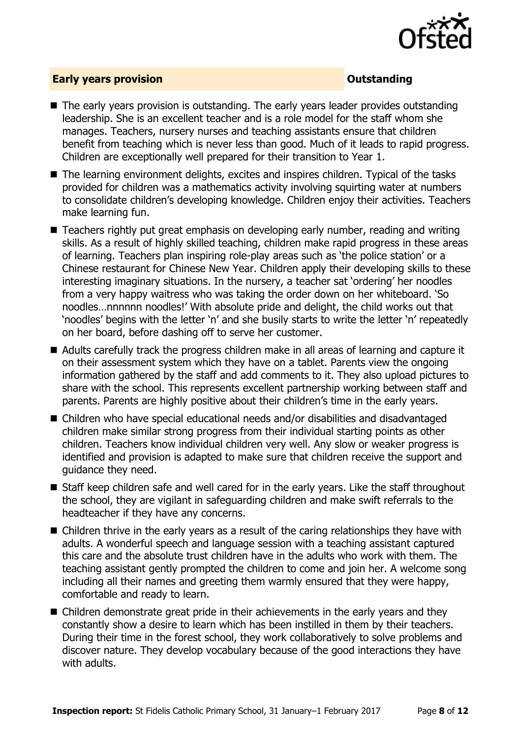

### **Early years provision CONSISTER SERVICES CONSISTENT CONSTANT CONSTANT CONSTANT CONSISTENT CONSTANT CONSTANT CONSTANT CONSTANT CONSTANT CONSTANT CONSTANT CONSTANT CONSTANT CONSTANT CONSTANT CONSTANT CONSTANT CONSTANT C**

- The early vears provision is outstanding. The early years leader provides outstanding leadership. She is an excellent teacher and is a role model for the staff whom she manages. Teachers, nursery nurses and teaching assistants ensure that children benefit from teaching which is never less than good. Much of it leads to rapid progress. Children are exceptionally well prepared for their transition to Year 1.
- The learning environment delights, excites and inspires children. Typical of the tasks provided for children was a mathematics activity involving squirting water at numbers to consolidate children's developing knowledge. Children enjoy their activities. Teachers make learning fun.
- Teachers rightly put great emphasis on developing early number, reading and writing skills. As a result of highly skilled teaching, children make rapid progress in these areas of learning. Teachers plan inspiring role-play areas such as 'the police station' or a Chinese restaurant for Chinese New Year. Children apply their developing skills to these interesting imaginary situations. In the nursery, a teacher sat 'ordering' her noodles from a very happy waitress who was taking the order down on her whiteboard. 'So noodles…nnnnnn noodles!' With absolute pride and delight, the child works out that 'noodles' begins with the letter 'n' and she busily starts to write the letter 'n' repeatedly on her board, before dashing off to serve her customer.
- Adults carefully track the progress children make in all areas of learning and capture it on their assessment system which they have on a tablet. Parents view the ongoing information gathered by the staff and add comments to it. They also upload pictures to share with the school. This represents excellent partnership working between staff and parents. Parents are highly positive about their children's time in the early years.
- Children who have special educational needs and/or disabilities and disadvantaged children make similar strong progress from their individual starting points as other children. Teachers know individual children very well. Any slow or weaker progress is identified and provision is adapted to make sure that children receive the support and guidance they need.
- Staff keep children safe and well cared for in the early years. Like the staff throughout the school, they are vigilant in safeguarding children and make swift referrals to the headteacher if they have any concerns.
- Children thrive in the early years as a result of the caring relationships they have with adults. A wonderful speech and language session with a teaching assistant captured this care and the absolute trust children have in the adults who work with them. The teaching assistant gently prompted the children to come and join her. A welcome song including all their names and greeting them warmly ensured that they were happy, comfortable and ready to learn.
- Children demonstrate great pride in their achievements in the early years and they constantly show a desire to learn which has been instilled in them by their teachers. During their time in the forest school, they work collaboratively to solve problems and discover nature. They develop vocabulary because of the good interactions they have with adults.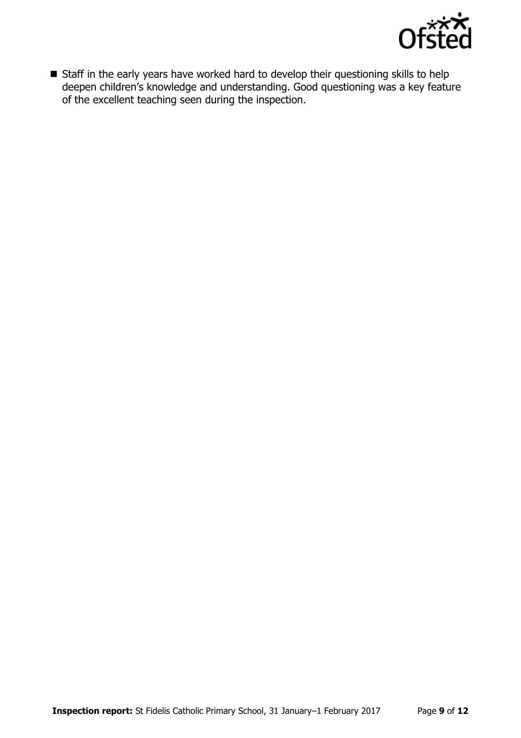

Staff in the early years have worked hard to develop their questioning skills to help deepen children's knowledge and understanding. Good questioning was a key feature of the excellent teaching seen during the inspection.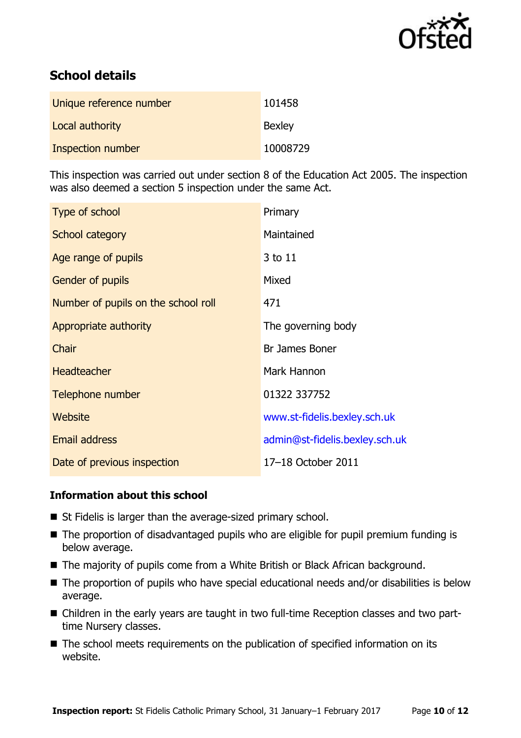

# **School details**

| Unique reference number | 101458        |
|-------------------------|---------------|
| Local authority         | <b>Bexley</b> |
| Inspection number       | 10008729      |

This inspection was carried out under section 8 of the Education Act 2005. The inspection was also deemed a section 5 inspection under the same Act.

| Type of school                      | Primary                        |
|-------------------------------------|--------------------------------|
| School category                     | Maintained                     |
| Age range of pupils                 | 3 to 11                        |
| <b>Gender of pupils</b>             | Mixed                          |
| Number of pupils on the school roll | 471                            |
| Appropriate authority               | The governing body             |
| Chair                               | Br James Boner                 |
| <b>Headteacher</b>                  | Mark Hannon                    |
| Telephone number                    | 01322 337752                   |
| Website                             | www.st-fidelis.bexley.sch.uk   |
| <b>Email address</b>                | admin@st-fidelis.bexley.sch.uk |
| Date of previous inspection         | 17-18 October 2011             |

### **Information about this school**

- St Fidelis is larger than the average-sized primary school.
- The proportion of disadvantaged pupils who are eligible for pupil premium funding is below average.
- The majority of pupils come from a White British or Black African background.
- The proportion of pupils who have special educational needs and/or disabilities is below average.
- Children in the early years are taught in two full-time Reception classes and two parttime Nursery classes.
- The school meets requirements on the publication of specified information on its website.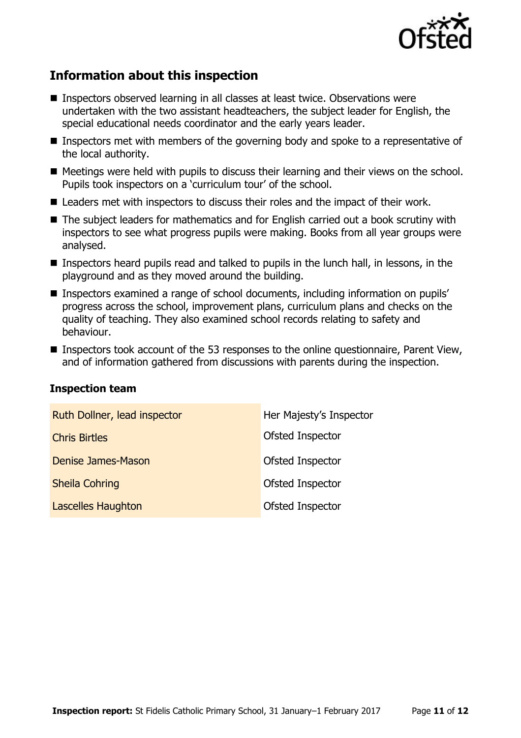

# **Information about this inspection**

- Inspectors observed learning in all classes at least twice. Observations were undertaken with the two assistant headteachers, the subject leader for English, the special educational needs coordinator and the early years leader.
- Inspectors met with members of the governing body and spoke to a representative of the local authority.
- Meetings were held with pupils to discuss their learning and their views on the school. Pupils took inspectors on a 'curriculum tour' of the school.
- Leaders met with inspectors to discuss their roles and the impact of their work.
- The subject leaders for mathematics and for English carried out a book scrutiny with inspectors to see what progress pupils were making. Books from all year groups were analysed.
- Inspectors heard pupils read and talked to pupils in the lunch hall, in lessons, in the playground and as they moved around the building.
- Inspectors examined a range of school documents, including information on pupils' progress across the school, improvement plans, curriculum plans and checks on the quality of teaching. They also examined school records relating to safety and behaviour.
- Inspectors took account of the 53 responses to the online questionnaire, Parent View, and of information gathered from discussions with parents during the inspection.

#### **Inspection team**

| Ruth Dollner, lead inspector | Her Majesty's Inspector |
|------------------------------|-------------------------|
| <b>Chris Birtles</b>         | Ofsted Inspector        |
| Denise James-Mason           | Ofsted Inspector        |
| <b>Sheila Cohring</b>        | Ofsted Inspector        |
| <b>Lascelles Haughton</b>    | Ofsted Inspector        |